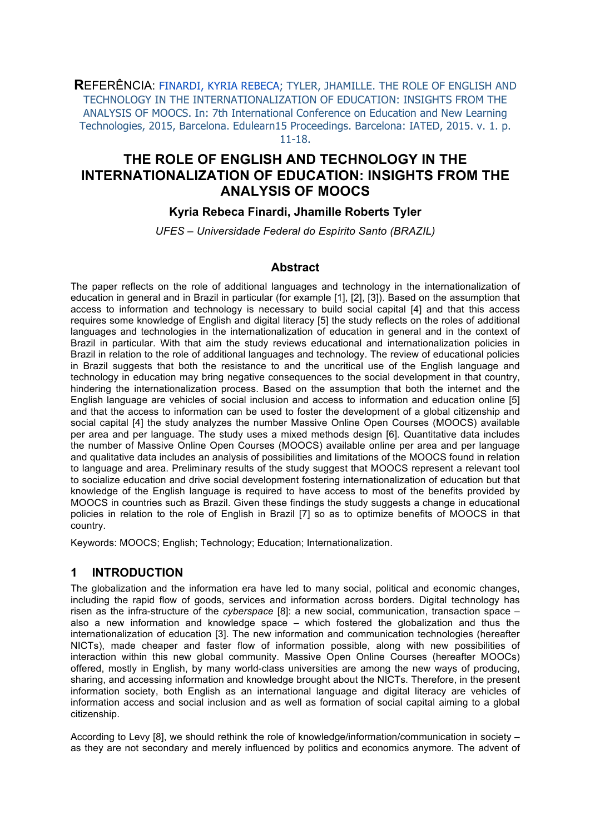**R**EFERÊNCIA: FINARDI, KYRIA REBECA; TYLER, JHAMILLE. THE ROLE OF ENGLISH AND TECHNOLOGY IN THE INTERNATIONALIZATION OF EDUCATION: INSIGHTS FROM THE ANALYSIS OF MOOCS. In: 7th International Conference on Education and New Learning Technologies, 2015, Barcelona. Edulearn15 Proceedings. Barcelona: IATED, 2015. v. 1. p. 11-18.

# **THE ROLE OF ENGLISH AND TECHNOLOGY IN THE INTERNATIONALIZATION OF EDUCATION: INSIGHTS FROM THE ANALYSIS OF MOOCS**

### **Kyria Rebeca Finardi, Jhamille Roberts Tyler**

*UFES – Universidade Federal do Espírito Santo (BRAZIL)* 

#### **Abstract**

The paper reflects on the role of additional languages and technology in the internationalization of education in general and in Brazil in particular (for example [1], [2], [3]). Based on the assumption that access to information and technology is necessary to build social capital [4] and that this access requires some knowledge of English and digital literacy [5] the study reflects on the roles of additional languages and technologies in the internationalization of education in general and in the context of Brazil in particular. With that aim the study reviews educational and internationalization policies in Brazil in relation to the role of additional languages and technology. The review of educational policies in Brazil suggests that both the resistance to and the uncritical use of the English language and technology in education may bring negative consequences to the social development in that country, hindering the internationalization process. Based on the assumption that both the internet and the English language are vehicles of social inclusion and access to information and education online [5] and that the access to information can be used to foster the development of a global citizenship and social capital [4] the study analyzes the number Massive Online Open Courses (MOOCS) available per area and per language. The study uses a mixed methods design [6]. Quantitative data includes the number of Massive Online Open Courses (MOOCS) available online per area and per language and qualitative data includes an analysis of possibilities and limitations of the MOOCS found in relation to language and area. Preliminary results of the study suggest that MOOCS represent a relevant tool to socialize education and drive social development fostering internationalization of education but that knowledge of the English language is required to have access to most of the benefits provided by MOOCS in countries such as Brazil. Given these findings the study suggests a change in educational policies in relation to the role of English in Brazil [7] so as to optimize benefits of MOOCS in that country.

Keywords: MOOCS; English; Technology; Education; Internationalization.

#### **1 INTRODUCTION**

The globalization and the information era have led to many social, political and economic changes, including the rapid flow of goods, services and information across borders. Digital technology has risen as the infra-structure of the *cyberspace* [8]: a new social, communication, transaction space – also a new information and knowledge space – which fostered the globalization and thus the internationalization of education [3]. The new information and communication technologies (hereafter NICTs), made cheaper and faster flow of information possible, along with new possibilities of interaction within this new global community. Massive Open Online Courses (hereafter MOOCs) offered, mostly in English, by many world-class universities are among the new ways of producing, sharing, and accessing information and knowledge brought about the NICTs. Therefore, in the present information society, both English as an international language and digital literacy are vehicles of information access and social inclusion and as well as formation of social capital aiming to a global citizenship.

According to Levy [8], we should rethink the role of knowledge/information/communication in society – as they are not secondary and merely influenced by politics and economics anymore. The advent of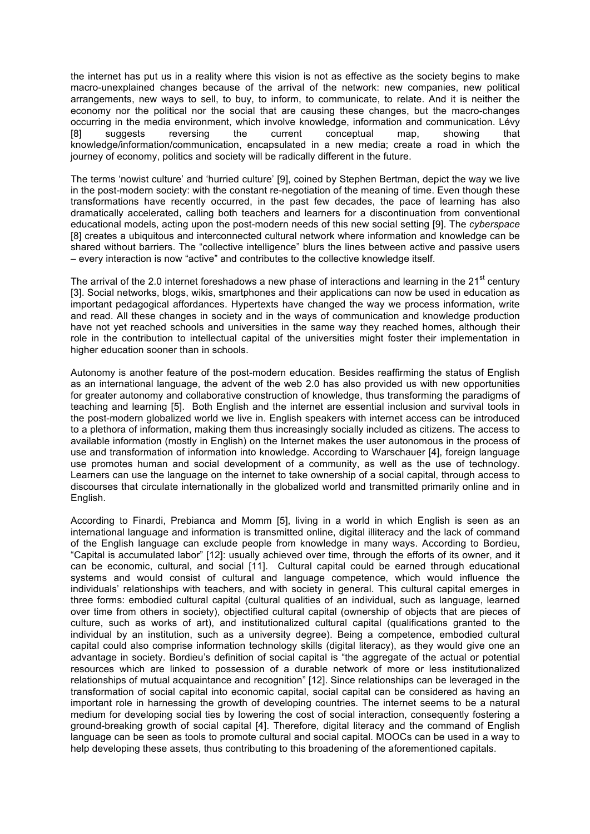the internet has put us in a reality where this vision is not as effective as the society begins to make macro-unexplained changes because of the arrival of the network: new companies, new political arrangements, new ways to sell, to buy, to inform, to communicate, to relate. And it is neither the economy nor the political nor the social that are causing these changes, but the macro-changes occurring in the media environment, which involve knowledge, information and communication. Lévy [8] suggests reversing the current conceptual map, showing that knowledge/information/communication, encapsulated in a new media; create a road in which the journey of economy, politics and society will be radically different in the future.

The terms 'nowist culture' and 'hurried culture' [9], coined by Stephen Bertman, depict the way we live in the post-modern society: with the constant re-negotiation of the meaning of time. Even though these transformations have recently occurred, in the past few decades, the pace of learning has also dramatically accelerated, calling both teachers and learners for a discontinuation from conventional educational models, acting upon the post-modern needs of this new social setting [9]. The *cyberspace* [8] creates a ubiquitous and interconnected cultural network where information and knowledge can be shared without barriers. The "collective intelligence" blurs the lines between active and passive users – every interaction is now "active" and contributes to the collective knowledge itself.

The arrival of the 2.0 internet foreshadows a new phase of interactions and learning in the  $21^{st}$  century [3]. Social networks, blogs, wikis, smartphones and their applications can now be used in education as important pedagogical affordances. Hypertexts have changed the way we process information, write and read. All these changes in society and in the ways of communication and knowledge production have not yet reached schools and universities in the same way they reached homes, although their role in the contribution to intellectual capital of the universities might foster their implementation in higher education sooner than in schools.

Autonomy is another feature of the post-modern education. Besides reaffirming the status of English as an international language, the advent of the web 2.0 has also provided us with new opportunities for greater autonomy and collaborative construction of knowledge, thus transforming the paradigms of teaching and learning [5]. Both English and the internet are essential inclusion and survival tools in the post-modern globalized world we live in. English speakers with internet access can be introduced to a plethora of information, making them thus increasingly socially included as citizens. The access to available information (mostly in English) on the Internet makes the user autonomous in the process of use and transformation of information into knowledge. According to Warschauer [4], foreign language use promotes human and social development of a community, as well as the use of technology. Learners can use the language on the internet to take ownership of a social capital, through access to discourses that circulate internationally in the globalized world and transmitted primarily online and in English.

According to Finardi, Prebianca and Momm [5], living in a world in which English is seen as an international language and information is transmitted online, digital illiteracy and the lack of command of the English language can exclude people from knowledge in many ways. According to Bordieu, "Capital is accumulated labor" [12]: usually achieved over time, through the efforts of its owner, and it can be economic, cultural, and social [11]. Cultural capital could be earned through educational systems and would consist of cultural and language competence, which would influence the individuals' relationships with teachers, and with society in general. This cultural capital emerges in three forms: embodied cultural capital (cultural qualities of an individual, such as language, learned over time from others in society), objectified cultural capital (ownership of objects that are pieces of culture, such as works of art), and institutionalized cultural capital (qualifications granted to the individual by an institution, such as a university degree). Being a competence, embodied cultural capital could also comprise information technology skills (digital literacy), as they would give one an advantage in society. Bordieu's definition of social capital is "the aggregate of the actual or potential resources which are linked to possession of a durable network of more or less institutionalized relationships of mutual acquaintance and recognition" [12]. Since relationships can be leveraged in the transformation of social capital into economic capital, social capital can be considered as having an important role in harnessing the growth of developing countries. The internet seems to be a natural medium for developing social ties by lowering the cost of social interaction, consequently fostering a ground-breaking growth of social capital [4]. Therefore, digital literacy and the command of English language can be seen as tools to promote cultural and social capital. MOOCs can be used in a way to help developing these assets, thus contributing to this broadening of the aforementioned capitals.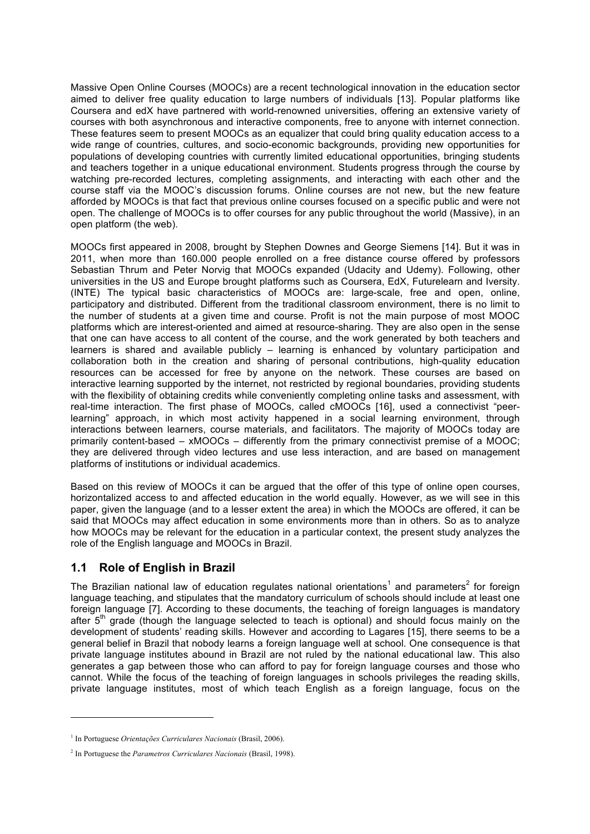Massive Open Online Courses (MOOCs) are a recent technological innovation in the education sector aimed to deliver free quality education to large numbers of individuals [13]. Popular platforms like Coursera and edX have partnered with world-renowned universities, offering an extensive variety of courses with both asynchronous and interactive components, free to anyone with internet connection. These features seem to present MOOCs as an equalizer that could bring quality education access to a wide range of countries, cultures, and socio-economic backgrounds, providing new opportunities for populations of developing countries with currently limited educational opportunities, bringing students and teachers together in a unique educational environment. Students progress through the course by watching pre-recorded lectures, completing assignments, and interacting with each other and the course staff via the MOOC's discussion forums. Online courses are not new, but the new feature afforded by MOOCs is that fact that previous online courses focused on a specific public and were not open. The challenge of MOOCs is to offer courses for any public throughout the world (Massive), in an open platform (the web).

MOOCs first appeared in 2008, brought by Stephen Downes and George Siemens [14]. But it was in 2011, when more than 160.000 people enrolled on a free distance course offered by professors Sebastian Thrum and Peter Norvig that MOOCs expanded (Udacity and Udemy). Following, other universities in the US and Europe brought platforms such as Coursera, EdX, Futurelearn and Iversity. (INTE) The typical basic characteristics of MOOCs are: large-scale, free and open, online, participatory and distributed. Different from the traditional classroom environment, there is no limit to the number of students at a given time and course. Profit is not the main purpose of most MOOC platforms which are interest-oriented and aimed at resource-sharing. They are also open in the sense that one can have access to all content of the course, and the work generated by both teachers and learners is shared and available publicly – learning is enhanced by voluntary participation and collaboration both in the creation and sharing of personal contributions, high-quality education resources can be accessed for free by anyone on the network. These courses are based on interactive learning supported by the internet, not restricted by regional boundaries, providing students with the flexibility of obtaining credits while conveniently completing online tasks and assessment, with real-time interaction. The first phase of MOOCs, called cMOOCs [16], used a connectivist "peerlearning" approach, in which most activity happened in a social learning environment, through interactions between learners, course materials, and facilitators. The majority of MOOCs today are primarily content-based – xMOOCs – differently from the primary connectivist premise of a MOOC; they are delivered through video lectures and use less interaction, and are based on management platforms of institutions or individual academics.

Based on this review of MOOCs it can be argued that the offer of this type of online open courses, horizontalized access to and affected education in the world equally. However, as we will see in this paper, given the language (and to a lesser extent the area) in which the MOOCs are offered, it can be said that MOOCs may affect education in some environments more than in others. So as to analyze how MOOCs may be relevant for the education in a particular context, the present study analyzes the role of the English language and MOOCs in Brazil.

### **1.1 Role of English in Brazil**

The Brazilian national law of education regulates national orientations<sup>1</sup> and parameters<sup>2</sup> for foreign language teaching, and stipulates that the mandatory curriculum of schools should include at least one foreign language [7]. According to these documents, the teaching of foreign languages is mandatory after 5<sup>th</sup> grade (though the language selected to teach is optional) and should focus mainly on the development of students' reading skills. However and according to Lagares [15], there seems to be a general belief in Brazil that nobody learns a foreign language well at school. One consequence is that private language institutes abound in Brazil are not ruled by the national educational law. This also generates a gap between those who can afford to pay for foreign language courses and those who cannot. While the focus of the teaching of foreign languages in schools privileges the reading skills, private language institutes, most of which teach English as a foreign language, focus on the

l

<sup>1</sup> In Portuguese *Orientações Curriculares Nacionais* (Brasil, 2006).

<sup>2</sup> In Portuguese the *Parametros Curriculares Nacionais* (Brasil, 1998).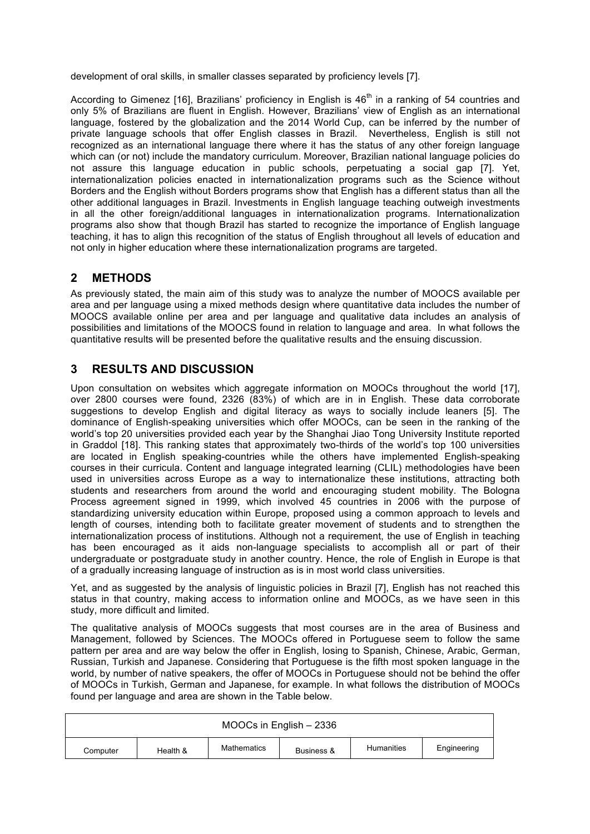development of oral skills, in smaller classes separated by proficiency levels [7].

According to Gimenez [16], Brazilians' proficiency in English is  $46<sup>th</sup>$  in a ranking of 54 countries and only 5% of Brazilians are fluent in English. However, Brazilians' view of English as an international language, fostered by the globalization and the 2014 World Cup, can be inferred by the number of private language schools that offer English classes in Brazil. Nevertheless, English is still not recognized as an international language there where it has the status of any other foreign language which can (or not) include the mandatory curriculum. Moreover, Brazilian national language policies do not assure this language education in public schools, perpetuating a social gap [7]. Yet, internationalization policies enacted in internationalization programs such as the Science without Borders and the English without Borders programs show that English has a different status than all the other additional languages in Brazil. Investments in English language teaching outweigh investments in all the other foreign/additional languages in internationalization programs. Internationalization programs also show that though Brazil has started to recognize the importance of English language teaching, it has to align this recognition of the status of English throughout all levels of education and not only in higher education where these internationalization programs are targeted.

# **2 METHODS**

As previously stated, the main aim of this study was to analyze the number of MOOCS available per area and per language using a mixed methods design where quantitative data includes the number of MOOCS available online per area and per language and qualitative data includes an analysis of possibilities and limitations of the MOOCS found in relation to language and area. In what follows the quantitative results will be presented before the qualitative results and the ensuing discussion.

## **3 RESULTS AND DISCUSSION**

Upon consultation on websites which aggregate information on MOOCs throughout the world [17], over 2800 courses were found, 2326 (83%) of which are in in English. These data corroborate suggestions to develop English and digital literacy as ways to socially include leaners [5]. The dominance of English-speaking universities which offer MOOCs, can be seen in the ranking of the world's top 20 universities provided each year by the Shanghai Jiao Tong University Institute reported in Graddol [18]. This ranking states that approximately two-thirds of the world's top 100 universities are located in English speaking-countries while the others have implemented English-speaking courses in their curricula. Content and language integrated learning (CLIL) methodologies have been used in universities across Europe as a way to internationalize these institutions, attracting both students and researchers from around the world and encouraging student mobility. The Bologna Process agreement signed in 1999, which involved 45 countries in 2006 with the purpose of standardizing university education within Europe, proposed using a common approach to levels and length of courses, intending both to facilitate greater movement of students and to strengthen the internationalization process of institutions. Although not a requirement, the use of English in teaching has been encouraged as it aids non-language specialists to accomplish all or part of their undergraduate or postgraduate study in another country. Hence, the role of English in Europe is that of a gradually increasing language of instruction as is in most world class universities.

Yet, and as suggested by the analysis of linguistic policies in Brazil [7], English has not reached this status in that country, making access to information online and MOOCs, as we have seen in this study, more difficult and limited.

The qualitative analysis of MOOCs suggests that most courses are in the area of Business and Management, followed by Sciences. The MOOCs offered in Portuguese seem to follow the same pattern per area and are way below the offer in English, losing to Spanish, Chinese, Arabic, German, Russian, Turkish and Japanese. Considering that Portuguese is the fifth most spoken language in the world, by number of native speakers, the offer of MOOCs in Portuguese should not be behind the offer of MOOCs in Turkish, German and Japanese, for example. In what follows the distribution of MOOCs found per language and area are shown in the Table below.

| MOOCs in English - 2336 |          |             |            |            |             |  |  |  |
|-------------------------|----------|-------------|------------|------------|-------------|--|--|--|
| Computer                | Health & | Mathematics | Business & | Humanities | Engineering |  |  |  |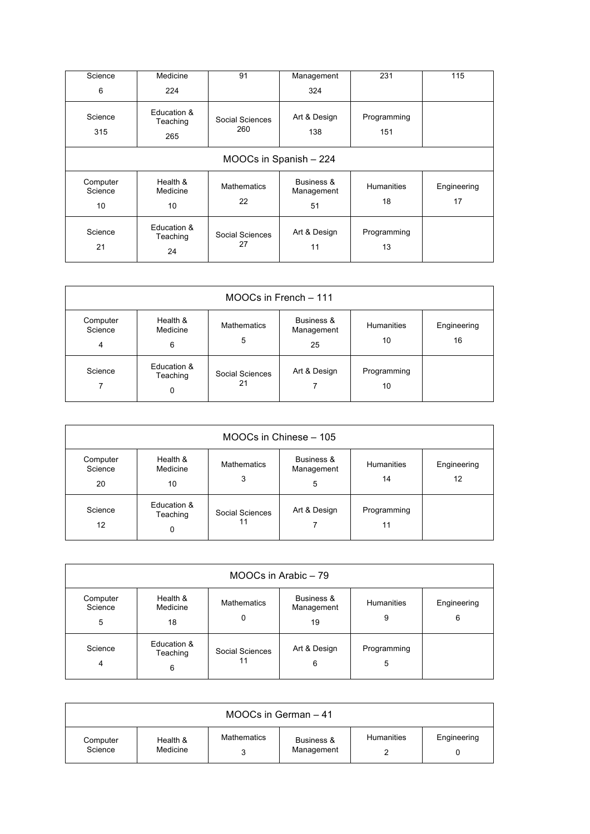| Science<br>6              | Medicine<br>224                | 91                       | Management<br>324              | 231                     | 115               |  |  |  |  |
|---------------------------|--------------------------------|--------------------------|--------------------------------|-------------------------|-------------------|--|--|--|--|
| Science<br>315            | Education &<br>Teaching<br>265 | Social Sciences<br>260   | Art & Design<br>138            | Programming<br>151      |                   |  |  |  |  |
|                           | MOOCs in Spanish - 224         |                          |                                |                         |                   |  |  |  |  |
| Computer<br>Science<br>10 | Health &<br>Medicine<br>10     | <b>Mathematics</b><br>22 | Business &<br>Management<br>51 | <b>Humanities</b><br>18 | Engineering<br>17 |  |  |  |  |
| Science<br>21             | Education &<br>Teaching<br>24  | Social Sciences<br>27    | Art & Design<br>11             | Programming<br>13       |                   |  |  |  |  |

| MOOCs in French - 111                 |                              |                         |                                |                   |                   |  |  |
|---------------------------------------|------------------------------|-------------------------|--------------------------------|-------------------|-------------------|--|--|
| Computer<br>Science<br>$\overline{4}$ | Health &<br>Medicine<br>6    | <b>Mathematics</b><br>5 | Business &<br>Management<br>25 | Humanities<br>10  | Engineering<br>16 |  |  |
| Science<br>7                          | Education &<br>Teaching<br>0 | Social Sciences<br>21   | Art & Design                   | Programming<br>10 |                   |  |  |

| MOOCs in Chinese - 105    |                              |                         |                               |                         |                   |  |  |
|---------------------------|------------------------------|-------------------------|-------------------------------|-------------------------|-------------------|--|--|
| Computer<br>Science<br>20 | Health &<br>Medicine<br>10   | <b>Mathematics</b><br>3 | Business &<br>Management<br>5 | <b>Humanities</b><br>14 | Engineering<br>12 |  |  |
| Science<br>12             | Education &<br>Teaching<br>0 | Social Sciences<br>11   | Art & Design                  | Programming<br>11       |                   |  |  |

| MOOCs in Arabic - 79      |                              |                         |                                |                  |                  |  |  |
|---------------------------|------------------------------|-------------------------|--------------------------------|------------------|------------------|--|--|
| Computer<br>Science<br>5  | Health &<br>Medicine<br>18   | <b>Mathematics</b><br>0 | Business &<br>Management<br>19 | Humanities<br>9  | Engineering<br>6 |  |  |
| Science<br>$\overline{4}$ | Education &<br>Teaching<br>6 | Social Sciences<br>11   | Art & Design<br>6              | Programming<br>5 |                  |  |  |

| MOOCs in German - 41 |                      |                    |                          |            |             |  |  |  |
|----------------------|----------------------|--------------------|--------------------------|------------|-------------|--|--|--|
| Computer<br>Science  | Health &<br>Medicine | <b>Mathematics</b> | Business &<br>Management | Humanities | Engineering |  |  |  |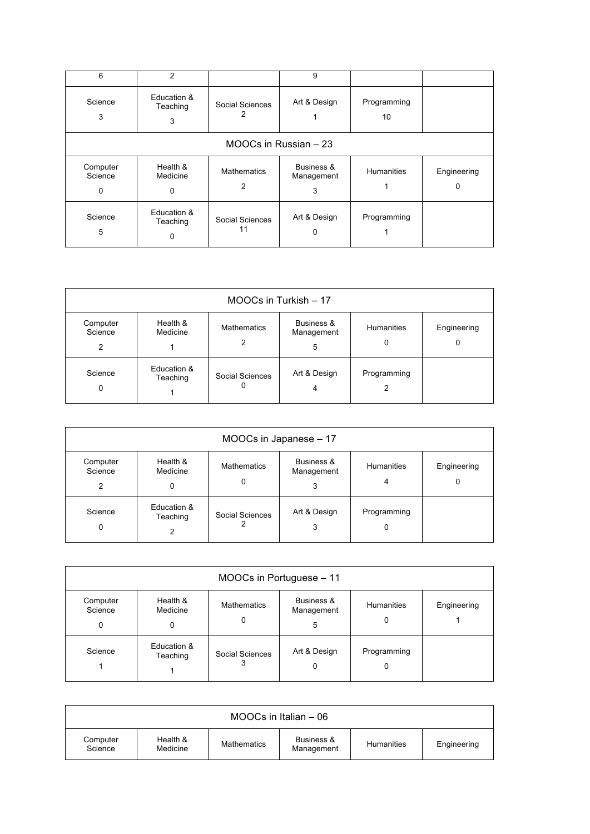| 6                        | $\overline{2}$               |                         | 9                             |                   |                  |  |  |  |  |
|--------------------------|------------------------------|-------------------------|-------------------------------|-------------------|------------------|--|--|--|--|
| Science<br>3             | Education &<br>Teaching<br>3 | Social Sciences         | Art & Design                  | Programming<br>10 |                  |  |  |  |  |
|                          | MOOCs in Russian - 23        |                         |                               |                   |                  |  |  |  |  |
| Computer<br>Science<br>0 | Health &<br>Medicine<br>0    | <b>Mathematics</b><br>2 | Business &<br>Management<br>3 | Humanities        | Engineering<br>0 |  |  |  |  |
| Science<br>5             | Education &<br>Teaching<br>0 | Social Sciences<br>11   | Art & Design<br>0             | Programming       |                  |  |  |  |  |

| MOOCs in Turkish - 17    |                         |                         |                               |                        |                  |  |  |  |
|--------------------------|-------------------------|-------------------------|-------------------------------|------------------------|------------------|--|--|--|
| Computer<br>Science<br>2 | Health &<br>Medicine    | <b>Mathematics</b><br>2 | Business &<br>Management<br>5 | <b>Humanities</b><br>0 | Engineering<br>0 |  |  |  |
| Science<br>0             | Education &<br>Teaching | Social Sciences<br>0    | Art & Design<br>4             | Programming<br>2       |                  |  |  |  |

| MOOCs in Japanese - 17   |                              |                         |                               |                  |                  |  |  |
|--------------------------|------------------------------|-------------------------|-------------------------------|------------------|------------------|--|--|
| Computer<br>Science<br>2 | Health &<br>Medicine<br>0    | <b>Mathematics</b><br>0 | Business &<br>Management<br>3 | Humanities<br>4  | Engineering<br>0 |  |  |
| Science<br>0             | Education &<br>Teaching<br>2 | Social Sciences         | Art & Design<br>3             | Programming<br>0 |                  |  |  |

| MOOCs in Portuguese - 11 |                           |                         |                               |                        |             |  |  |  |
|--------------------------|---------------------------|-------------------------|-------------------------------|------------------------|-------------|--|--|--|
| Computer<br>Science<br>0 | Health &<br>Medicine<br>0 | <b>Mathematics</b><br>0 | Business &<br>Management<br>5 | <b>Humanities</b><br>0 | Engineering |  |  |  |
| Science                  | Education &<br>Teaching   | Social Sciences<br>3    | Art & Design<br>0             | Programming<br>0       |             |  |  |  |

| $MOOCs$ in Italian $-06$ |                      |             |                          |            |             |  |  |
|--------------------------|----------------------|-------------|--------------------------|------------|-------------|--|--|
| Computer<br>Science      | Health &<br>Medicine | Mathematics | Business &<br>Management | Humanities | Engineering |  |  |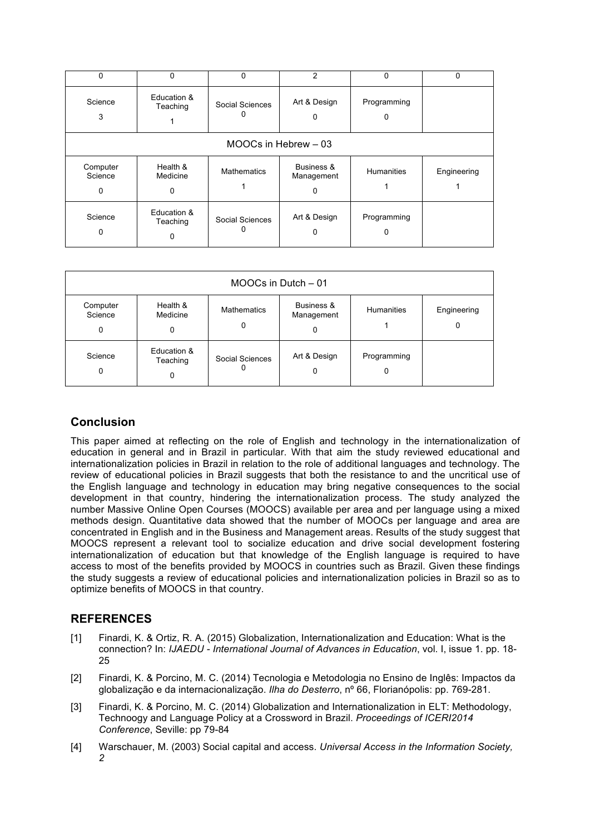| $\Omega$                 | $\Omega$                     | 0                  | 2                             | 0                 | $\Omega$    |  |  |  |  |
|--------------------------|------------------------------|--------------------|-------------------------------|-------------------|-------------|--|--|--|--|
| Science<br>3             | Education &<br>Teaching      | Social Sciences    | Art & Design<br>0             | Programming<br>O  |             |  |  |  |  |
|                          | MOOCs in Hebrew - 03         |                    |                               |                   |             |  |  |  |  |
| Computer<br>Science<br>0 | Health &<br>Medicine<br>0    | <b>Mathematics</b> | Business &<br>Management<br>0 | <b>Humanities</b> | Engineering |  |  |  |  |
| Science<br>0             | Education &<br>Teaching<br>0 | Social Sciences    | Art & Design<br>O             | Programming       |             |  |  |  |  |

| MOOCs in Dutch - 01      |                              |                         |                               |                   |                  |
|--------------------------|------------------------------|-------------------------|-------------------------------|-------------------|------------------|
| Computer<br>Science<br>0 | Health &<br>Medicine<br>0    | <b>Mathematics</b><br>0 | Business &<br>Management<br>0 | <b>Humanities</b> | Engineering<br>0 |
| Science<br>0             | Education &<br>Teaching<br>0 | Social Sciences<br>0    | Art & Design<br>0             | Programming<br>0  |                  |

# **Conclusion**

This paper aimed at reflecting on the role of English and technology in the internationalization of education in general and in Brazil in particular. With that aim the study reviewed educational and internationalization policies in Brazil in relation to the role of additional languages and technology. The review of educational policies in Brazil suggests that both the resistance to and the uncritical use of the English language and technology in education may bring negative consequences to the social development in that country, hindering the internationalization process. The study analyzed the number Massive Online Open Courses (MOOCS) available per area and per language using a mixed methods design. Quantitative data showed that the number of MOOCs per language and area are concentrated in English and in the Business and Management areas. Results of the study suggest that MOOCS represent a relevant tool to socialize education and drive social development fostering internationalization of education but that knowledge of the English language is required to have access to most of the benefits provided by MOOCS in countries such as Brazil. Given these findings the study suggests a review of educational policies and internationalization policies in Brazil so as to optimize benefits of MOOCS in that country.

### **REFERENCES**

- [1] Finardi, K. & Ortiz, R. A. (2015) Globalization, Internationalization and Education: What is the connection? In: *IJAEDU - International Journal of Advances in Education*, vol. I, issue 1. pp. 18- 25
- [2] Finardi, K. & Porcino, M. C. (2014) Tecnologia e Metodologia no Ensino de Inglês: Impactos da globalização e da internacionalização. *Ilha do Desterro*, nº 66, Florianópolis: pp. 769-281.
- [3] Finardi, K. & Porcino, M. C. (2014) Globalization and Internationalization in ELT: Methodology, Technoogy and Language Policy at a Crossword in Brazil. *Proceedings of ICERI2014 Conference*, Seville: pp 79-84
- [4] Warschauer, M. (2003) Social capital and access. *Universal Access in the Information Society, 2*